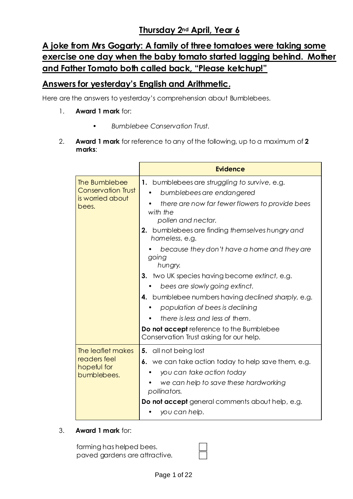# **Thursday 2nd April, Year 6**

# **A joke from Mrs Gogarty: A family of three tomatoes were taking some exercise one day when the baby tomato started lagging behind. Mother and Father Tomato both called back, "Please ketchup!"**

## **Answers for yesterday's English and Arithmetic.**

Here are the answers to yesterday's comprehension about Bumblebees.

- 1. **Award 1 mark** for:
	- *Bumblebee Conservation Trust.*
- 2. **Award 1 mark** for reference to any of the following, up to a maximum of **2 marks**:

|                                                                         | <b>Evidence</b>                                                                                                                                                                                                                                                                                                                                                                                                                                                                                                                                                                                               |
|-------------------------------------------------------------------------|---------------------------------------------------------------------------------------------------------------------------------------------------------------------------------------------------------------------------------------------------------------------------------------------------------------------------------------------------------------------------------------------------------------------------------------------------------------------------------------------------------------------------------------------------------------------------------------------------------------|
| The Bumblebee<br><b>Conservation Trust</b><br>is worried about<br>bees. | 1. bumblebees are struggling to survive, e.g.<br>bumblebees are endangered<br>there are now far fewer flowers to provide bees<br>with the<br>pollen and nectar.<br>2. bumblebees are finding themselves hungry and<br>homeless, e.g.<br>because they don't have a home and they are<br>going<br>hungry.<br>3. two UK species having become extinct, e.g.<br>bees are slowly going extinct.<br>4. bumblebee numbers having declined sharply, e.g.<br>population of bees is declining<br>there is less and less of them.<br>Do not accept reference to the Bumblebee<br>Conservation Trust asking for our help. |
| The leaflet makes<br>readers feel<br>hopeful for<br>bumblebees.         | 5. all not being lost<br>6. we can take action today to help save them, e.g.<br>you can take action today<br>we can help to save these hardworking<br>pollinators.<br>Do not accept general comments about help, e.g.<br>you can help.                                                                                                                                                                                                                                                                                                                                                                        |

3. **Award 1 mark** for:

farming has helped bees. paved gardens are attractive.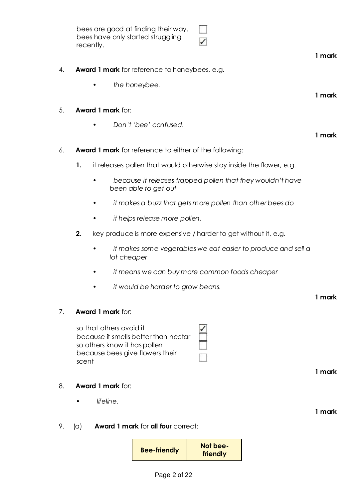|    | bees are good at finding their way.<br>bees have only started struggling<br>recently.                                                       |        |
|----|---------------------------------------------------------------------------------------------------------------------------------------------|--------|
|    |                                                                                                                                             | 1 mark |
| 4. | <b>Award 1 mark</b> for reference to honeybees, e.g.                                                                                        |        |
|    | the honeybee.                                                                                                                               |        |
|    |                                                                                                                                             | 1 mark |
| 5. | <b>Award 1 mark for:</b>                                                                                                                    |        |
|    | Don't 'bee' confused.<br>٠                                                                                                                  | 1 mark |
| 6. | <b>Award 1 mark</b> for reference to either of the following:                                                                               |        |
|    | 1.<br>it releases pollen that would otherwise stay inside the flower, e.g.                                                                  |        |
|    |                                                                                                                                             |        |
|    | because it releases trapped pollen that they wouldn't have<br>been able to get out                                                          |        |
|    | it makes a buzz that gets more pollen than other bees do                                                                                    |        |
|    | it helps release more pollen.                                                                                                               |        |
|    | 2.<br>key produce is more expensive / harder to get without it, e.g.                                                                        |        |
|    | it makes some vegetables we eat easier to produce and sell a<br>$\bullet$<br>lot cheaper                                                    |        |
|    | it means we can buy more common foods cheaper                                                                                               |        |
|    | it would be harder to grow beans.                                                                                                           |        |
|    |                                                                                                                                             | 1 mark |
| 7. | <b>Award 1 mark for:</b>                                                                                                                    |        |
|    | so that others avoid it<br>because it smells better than nectar<br>so others know it has pollen<br>because bees give flowers their<br>scent |        |
|    |                                                                                                                                             | 1 mark |
| 8. | <b>Award 1 mark for:</b>                                                                                                                    |        |
|    | lifeline.                                                                                                                                   |        |
|    |                                                                                                                                             | 1 mark |
| 9. | <b>Award 1 mark for all four correct:</b><br>(a)                                                                                            |        |
|    | Not bee-<br><b>Bee-friendly</b><br>friendly                                                                                                 |        |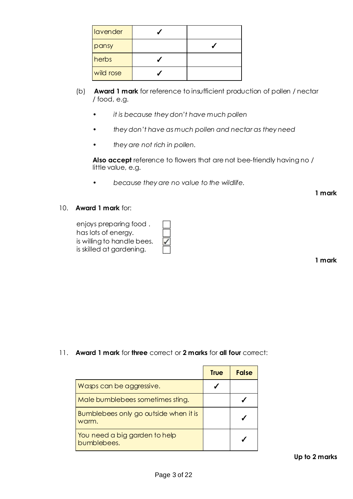| lavender  |  |
|-----------|--|
| pansy     |  |
| herbs     |  |
| wild rose |  |

- (b) **Award 1 mark** for reference to insufficient production of pollen / nectar / food, e.g.
	- *it is because they don't have much pollen*
	- *they don't have as much pollen and nectar as they need*
	- *they are not rich in pollen.*

**Also accept** reference to flowers that are not bee-friendly having no / little value, e.g.

• *because they are no value to the wildlife.*

**1 mark**

#### 10. **Award 1 mark** for:

| enjoys preparing food.     |
|----------------------------|
| has lots of energy.        |
| is willing to handle bees. |
| is skilled at gardening.   |

**1 mark**

11. **Award 1 mark** for **three** correct or **2 marks** for **all four** correct:

|                                                | <b>True</b> | <b>False</b> |
|------------------------------------------------|-------------|--------------|
| Wasps can be aggressive.                       |             |              |
| Male bumblebees sometimes sting.               |             |              |
| Bumblebees only go outside when it is<br>warm. |             |              |
| You need a big garden to help<br>bumblebees.   |             |              |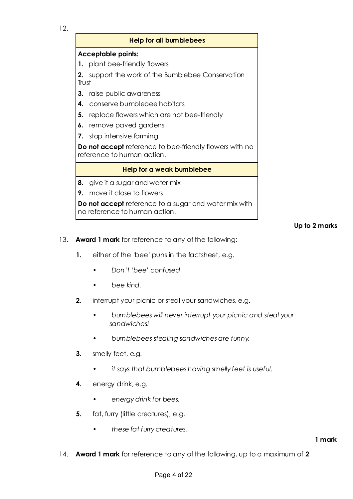12.

#### **Help for all bumblebees**

#### **Acceptable points:**

**1.** plant bee-friendly flowers

**2.** support the work of the Bumblebee Conservation Trust

- **3.** raise public awareness
- **4.** conserve bumblebee habitats
- **5.** replace flowers which are not bee-friendly
- **6.** remove paved gardens
- **7.** stop intensive farming

**Do not accept** reference to bee-friendly flowers with no reference to human action.

#### **Help for a weak bumblebee**

- **8.** give it a sugar and water mix
- **9.** move it close to flowers

**Do not accept** reference to a sugar and water mix with no reference to human action.

#### **Up to 2 marks**

- 13. **Award 1 mark** for reference to any of the following:
	- **1.** either of the 'bee' puns in the factsheet, e.g.
		- *Don't 'bee' confused*
		- *bee kind.*
	- **2.** interrupt your picnic or steal your sandwiches, e.g.
		- *bumblebees will never interrupt your picnic and steal your sandwiches!*
		- *bumblebees stealing sandwiches are funny.*
	- **3.** smelly feet, e.g.
		- *it says that bumblebees having smelly feet is useful.*
	- **4.** energy drink, e.g.
		- *energy drink for bees.*
	- **5.** fat, furry (little creatures), e.g.
		- *these fat furry creatures.*

14. **Award 1 mark** for reference to any of the following, up to a maximum of **2**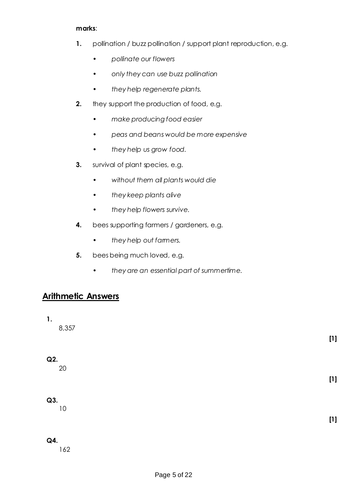#### **marks**:

- **1.** pollination / buzz pollination / support plant reproduction, e.g.
	- *pollinate our flowers*
	- *only they can use buzz pollination*
	- *they help regenerate plants.*
- **2.** they support the production of food, e.g.
	- *make producing food easier*
	- *peas and beans would be more expensive*
	- *they help us grow food.*
- **3.** survival of plant species, e.g.
	- *without them all plants would die*
	- *they keep plants alive*
	- *they help flowers survive.*
- **4.** bees supporting farmers / gardeners, e.g.
	- *they help out farmers.*
- **5.** bees being much loved, e.g.
	- *they are an essential part of summertime.*

# **Arithmetic Answers**

**1.**

8,357

#### **Q2.**

20

### **Q3.**

10

#### **[1]**

**[1]**

**[1]**

### **Q4.**

162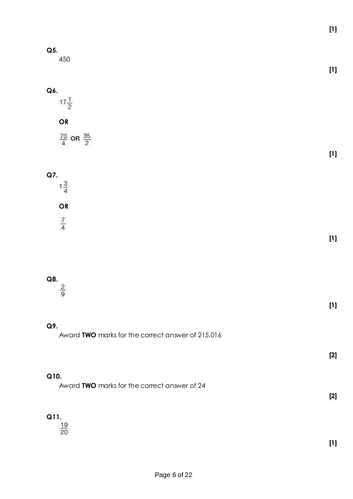**[1]**

**[1]**

**[1]**

| w<br>×<br>$\overline{\phantom{a}}$<br>v<br>I<br>×<br>× |  |
|--------------------------------------------------------|--|
|--------------------------------------------------------|--|

450

 $17\frac{1}{2}$ 

# **OR**

 $\frac{70}{4}$  OR  $\frac{35}{2}$ 

# **Q7.**

 $1\frac{3}{4}$ **OR**  $\frac{7}{4}$ 

# **[1]**

Q8.  $\frac{2}{9}$ 

# **Q9.**

Award **TWO** marks for the correct answer of 215,016

**[2]**

**[1]**

#### **Q10.**

Award **TWO** marks for the correct answer of 24

**[2]**

**Q11.**<br> $\frac{19}{20}$ 

**[1]**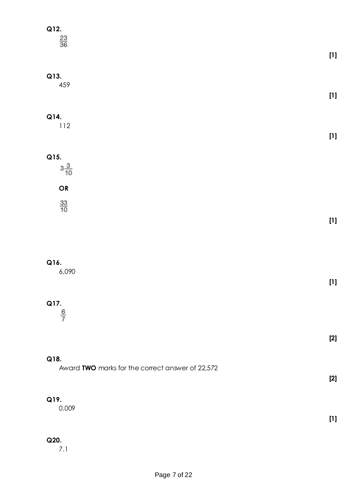| Q12.<br>$\frac{23}{36}$                                  |       |
|----------------------------------------------------------|-------|
|                                                          |       |
| Q13.<br>459                                              |       |
| Q14.<br>$112$                                            |       |
| Q15.                                                     |       |
| $3\frac{3}{10}$                                          |       |
| OR<br>$\frac{33}{10}$                                    |       |
|                                                          |       |
|                                                          |       |
| Q16.<br>6,090                                            | $[1]$ |
| Q17.                                                     |       |
| $\frac{6}{7}$                                            |       |
|                                                          | $[2]$ |
| Q18.<br>Award TWO marks for the correct answer of 22,572 |       |
|                                                          | $[2]$ |
| Q19.<br>0.009                                            |       |
|                                                          | $[1]$ |
| Q20.<br>7.1                                              |       |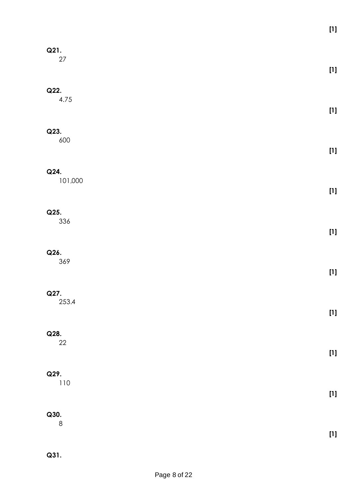| Q21.<br>$27\,$  |                                                                                                                                                                                                                                                                   |
|-----------------|-------------------------------------------------------------------------------------------------------------------------------------------------------------------------------------------------------------------------------------------------------------------|
| Q22.<br>4.75    |                                                                                                                                                                                                                                                                   |
| Q23.<br>600     |                                                                                                                                                                                                                                                                   |
| Q24.<br>101,000 |                                                                                                                                                                                                                                                                   |
| Q25.<br>336     |                                                                                                                                                                                                                                                                   |
| Q26.<br>369     |                                                                                                                                                                                                                                                                   |
| Q27.<br>253.4   |                                                                                                                                                                                                                                                                   |
| Q28.<br>$22\,$  | $[1] % \centering \includegraphics[width=0.9\columnwidth]{figures/fig_10.pdf} \caption{The graph $\mathbf{M}_1$ is the number of different graphs. The left is the number of different graphs, the right is the number of different graphs.} \label{fig:example}$ |
| Q29.<br>$110$   |                                                                                                                                                                                                                                                                   |
| Q30.            | $[1] % \centering \includegraphics[width=0.9\columnwidth]{figures/fig_10.pdf} \caption{The graph $\mathbf{M}_1$ is the number of different graphs. The left is the number of different graphs, the right is the number of different graphs.} \label{fig:example}$ |
| $\,8\,$         | $[1] % \centering \includegraphics[width=0.9\columnwidth]{figures/fig_10.pdf} \caption{The graph $\mathbf{M}_1$ is the number of different graphs. The left is the number of different graphs, the right is the number of different graphs.} \label{fig:example}$ |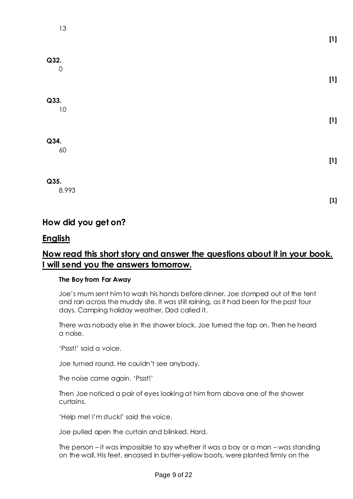# **Q32.**  $\Omega$ **[1] Q33.** 10 **[1] Q34.** 60 **[1]**

### **Q35.**

8.993

**[1]**

# **How did you get on?**

# **English**

# **Now read this short story and answer the questions about it in your book. I will send you the answers tomorrow.**

#### **The Boy from Far Away**

Joe's mum sent him to wash his hands before dinner. Joe stomped out of the tent and ran across the muddy site. It was still raining, as it had been for the past four days. Camping holiday weather, Dad called it.

There was nobody else in the shower block. Joe turned the tap on. Then he heard a noise.

'Pssst!' said a voice.

Joe turned round. He couldn't see anybody.

The noise came again. 'Pssst!'

Then Joe noticed a pair of eyes looking at him from above one of the shower curtains.

'Help me! I'm stuck!' said the voice.

Joe pulled open the curtain and blinked. Hard.

The person – it was impossible to say whether it was a boy or a man – was standing on the wall. His feet, encased in butter-yellow boots, were planted firmly on the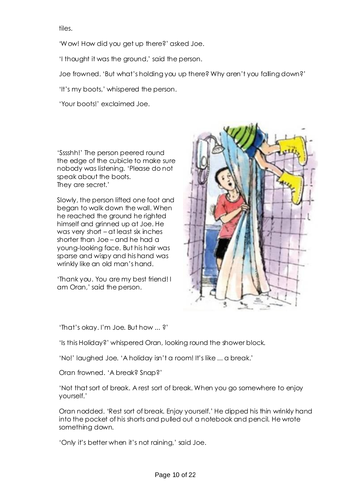tiles.

'Wow! How did you get up there?' asked Joe.

'I thought it was the ground,' said the person.

Joe frowned. 'But what's holding you up there? Why aren't you falling down?'

'It's my boots,' whispered the person.

'Your boots!' exclaimed Joe.

'Sssshh!' The person peered round the edge of the cubicle to make sure nobody was listening. 'Please do not speak about the boots. They are secret.'

Slowly, the person lifted one foot and began to walk down the wall. When he reached the ground he righted himself and grinned up at Joe. He was very short – at least six inches shorter than Joe – and he had a young-looking face. But his hair was sparse and wispy and his hand was wrinkly like an old man's hand.

'Thank you. You are my best friend! I am Oran,' said the person.



'That's okay. I'm Joe. But how ... ?'

'Is this Holiday?' whispered Oran, looking round the shower block.

'No!' laughed Joe. 'A holiday isn't a room! It's like ... a break.'

Oran frowned. 'A break? Snap?'

'Not that sort of break. A rest sort of break. When you go somewhere to enjoy yourself.'

Oran nodded. 'Rest sort of break. Enjoy yourself.' He dipped his thin wrinkly hand into the pocket of his shorts and pulled out a notebook and pencil. He wrote something down.

'Only it's better when it's not raining,' said Joe.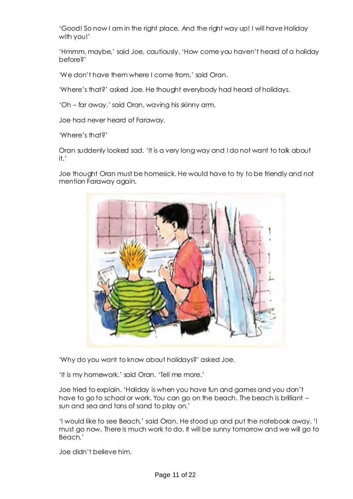'Good! So now I am in the right place. And the right way up! I will have Holiday with you!'

'Hmmm, maybe,' said Joe, cautiously. 'How come you haven't heard of a holiday before?'

'We don't have them where I come from,' said Oran.

'Where's that?' asked Joe. He thought everybody had heard of holidays.

'Oh – far away,' said Oran, waving his skinny arm.

Joe had never heard of Faraway.

'Where's that?'

Oran suddenly looked sad. 'It is a very long way and I do not want to talk about it.'

Joe thought Oran must be homesick. He would have to try to be friendly and not mention Faraway again.



'Why do you want to know about holidays?' asked Joe.

'It is my homework,' said Oran. 'Tell me more.'

Joe tried to explain. 'Holiday is when you have fun and games and you don't have to go to school or work. You can go on the beach. The beach is brilliant – sun and sea and tons of sand to play on.'

'I would like to see Beach,' said Oran. He stood up and put the notebook away. 'I must go now. There is much work to do. It will be sunny tomorrow and we will go to Beach.'

Joe didn't believe him.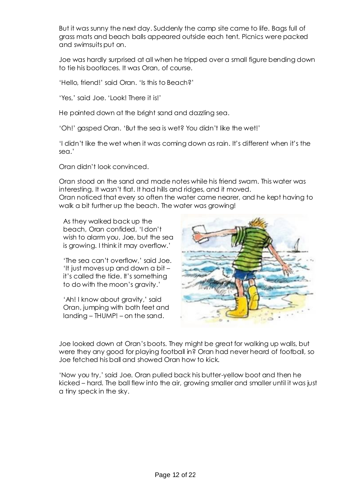But it was sunny the next day. Suddenly the camp site came to life. Bags full of grass mats and beach balls appeared outside each tent. Picnics were packed and swimsuits put on.

Joe was hardly surprised at all when he tripped over a small figure bending down to tie his bootlaces. It was Oran, of course.

'Hello, friend!' said Oran. 'Is this to Beach?'

'Yes,' said Joe. 'Look! There it is!'

He pointed down at the bright sand and dazzling sea.

'Oh!' gasped Oran. 'But the sea is wet? You didn't like the wet!'

'I didn't like the wet when it was coming down as rain. It's different when it's the sea.'

Oran didn't look convinced.

Oran stood on the sand and made notes while his friend swam. This water was interesting. It wasn't flat. It had hills and ridges, and it moved. Oran noticed that every so often the water came nearer, and he kept having to

walk a bit further up the beach. The water was growing!

As they walked back up the beach, Oran confided, 'I don't wish to alarm you, Joe, but the sea is growing. I think it may overflow.'

'The sea can't overflow,' said Joe. 'It just moves up and down a bit – it's called the tide. It's something to do with the moon's gravity.'

'Ah! I know about gravity,' said Oran, jumping with both feet and landing – THUMP! – on the sand.



Joe looked down at Oran's boots. They might be great for walking up walls, but were they any good for playing football in? Oran had never heard of football, so Joe fetched his ball and showed Oran how to kick.

'Now you try,' said Joe. Oran pulled back his butter-yellow boot and then he kicked – hard. The ball flew into the air, growing smaller and smaller until it was just a tiny speck in the sky.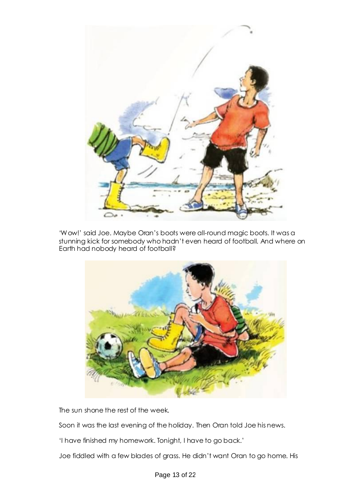

'Wow!' said Joe. Maybe Oran's boots were all-round magic boots. It was a stunning kick for somebody who hadn't even heard of football. And where on Earth had nobody heard of football?



The sun shone the rest of the week.

Soon it was the last evening of the holiday. Then Oran told Joe his news.

'I have finished my homework. Tonight, I have to go back.'

Joe fiddled with a few blades of grass. He didn't want Oran to go home. His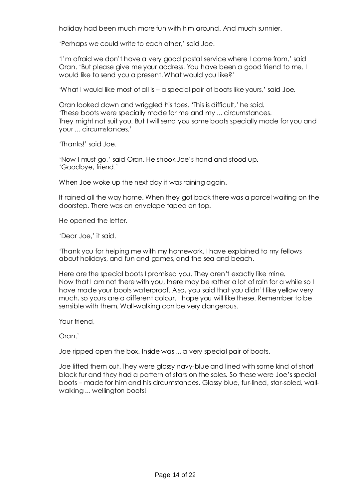holiday had been much more fun with him around. And much sunnier.

'Perhaps we could write to each other,' said Joe.

'I'm afraid we don't have a very good postal service where I come from,' said Oran. 'But please give me your address. You have been a good friend to me. I would like to send you a present. What would you like?'

'What I would like most of all is – a special pair of boots like yours,' said Joe.

Oran looked down and wriggled his toes. 'This is difficult,' he said. 'These boots were specially made for me and my ... circumstances. They might not suit you. But I will send you some boots specially made for you and your ... circumstances.'

'Thanks!' said Joe.

'Now I must go,' said Oran. He shook Joe's hand and stood up. 'Goodbye, friend.'

When Joe woke up the next day it was raining again.

It rained all the way home. When they got back there was a parcel waiting on the doorstep. There was an envelope taped on top.

He opened the letter.

'Dear Joe,' it said.

'Thank you for helping me with my homework. I have explained to my fellows about holidays, and fun and games, and the sea and beach.

Here are the special boots I promised you. They aren't exactly like mine. Now that I am not there with you, there may be rather a lot of rain for a while so I have made your boots waterproof. Also, you said that you didn't like yellow very much, so yours are a different colour. I hope you will like these. Remember to be sensible with them. Wall-walking can be very dangerous.

Your friend,

Oran.'

Joe ripped open the box. Inside was ... a very special pair of boots.

Joe lifted them out. They were glossy navy-blue and lined with some kind of short black fur and they had a pattern of stars on the soles. So these were Joe's special boots – made for him and his circumstances. Glossy blue, fur-lined, star-soled, wallwalking ... wellington boots!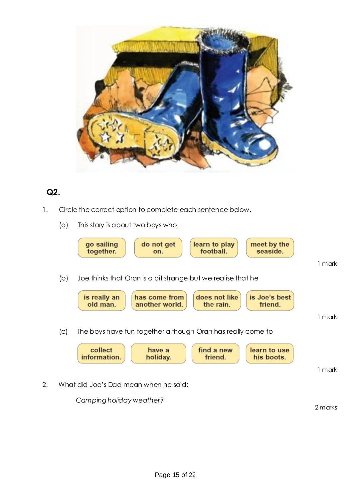

# **Q2.**

- 1. Circle the correct option to complete each sentence below.
	- (a) This story is about two boys who



*Camping holiday weather?*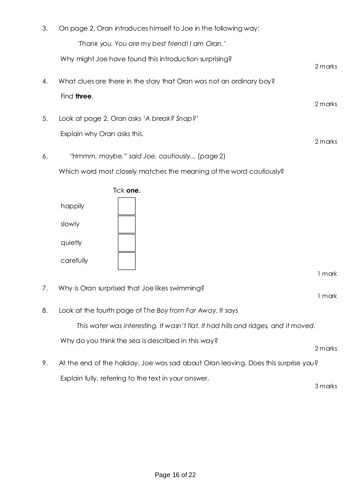| 3. | On page 2, Oran introduces himself to Joe in the following way:                    |         |
|----|------------------------------------------------------------------------------------|---------|
|    | 'Thank you. You are my best friend! I am Oran.'                                    |         |
|    | Why might Joe have found this introduction surprising?                             | 2 marks |
| 4. | What clues are there in the story that Oran was not an ordinary boy?               |         |
|    | Find three.                                                                        | 2 marks |
| 5. | Look at page 2. Oran asks 'A break? Snap?'                                         |         |
|    | Explain why Oran asks this.                                                        | 2 marks |
| 6. | "Hmmm, maybe," said Joe, cautiously (page 2)                                       |         |
|    | Which word most closely matches the meaning of the word cautiously?                |         |
|    | Tick one.<br>happily<br>slowly<br>quietly<br>carefully                             | 1 mark  |
| 7. | Why is Oran surprised that Joe likes swimming?                                     | 1 mark  |
| 8. | Look at the fourth page of The Boy from Far Away. It says                          |         |
|    | This water was interesting. It wasn't flat. It had hills and ridges, and it moved. |         |
|    | Why do you think the sea is described in this way?                                 | 2 marks |
| 9. | At the end of the holiday, Joe was sad about Oran leaving. Does this surprise you? |         |
|    | Explain fully, referring to the text in your answer.                               | 3 marks |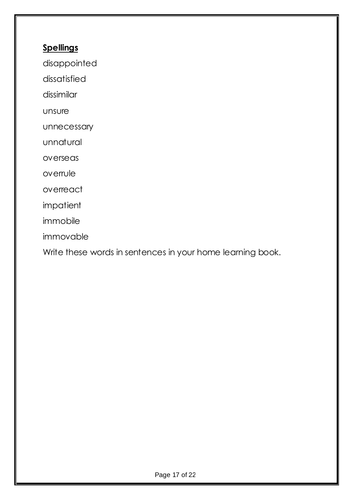# **Spellings**

disappointed

dissatisfied

dissimilar

unsure

unnecessary

unnatural

overseas

overrule

overreact

impatient

immobile

immovable

Write these words in sentences in your home learning book.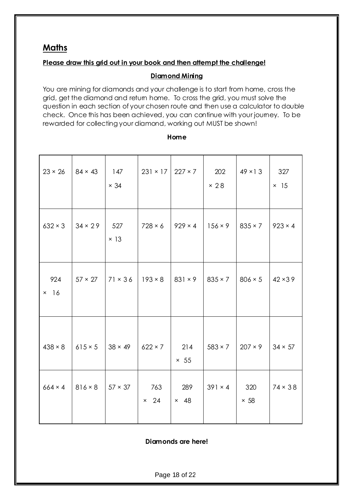# **Maths**

#### **Please draw this grid out in your book and then attempt the challenge!**

#### **Diamond Mining**

You are mining for diamonds and your challenge is to start from home, cross the grid, get the diamond and return home. To cross the grid, you must solve the question in each section of your chosen route and then use a calculator to double check. Once this has been achieved, you can continue with your journey. To be rewarded for collecting your diamond, working out MUST be shown!

| $23 \times 26$        | $84 \times 43$ | 147<br>$\times$ 34 | $231 \times 17$ 227 × 7 |                    | 202<br>$\times$ 28 | $49 \times 13$     | 327<br>$\times$ 15 |
|-----------------------|----------------|--------------------|-------------------------|--------------------|--------------------|--------------------|--------------------|
| $632 \times 3$        | $34 \times 29$ | 527<br>$\times$ 13 | $728 \times 6$          | $929 \times 4$     | $156 \times 9$     | $835 \times 7$     | $923 \times 4$     |
| 924<br>16<br>$\times$ | $57 \times 27$ | $71 \times 36$     | $193 \times 8$          | $831 \times 9$     | $835 \times 7$     | $806 \times 5$     | $42 \times 39$     |
| $438 \times 8$        | $615 \times 5$ | $38 \times 49$     | $622 \times 7$          | 214<br>$\times$ 55 | $583 \times 7$     | $207 \times 9$     | $34 \times 57$     |
| $664 \times 4$        | $816 \times 8$ | $57 \times 37$     | 763<br>24<br>$\times$   | 289<br>$\times$ 48 | $391 \times 4$     | 320<br>$\times 58$ | $74 \times 38$     |

#### **Home**

**Diamonds are here!**

Page 18 of 22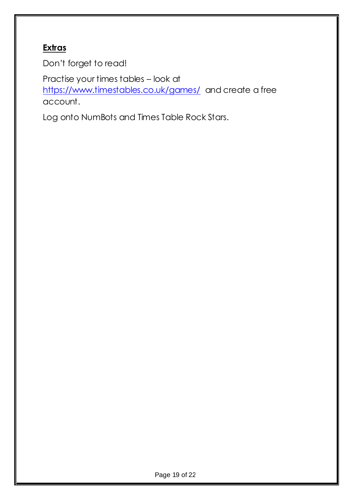# **Extras**

Don't forget to read!

Practise your times tables – look at <https://www.timestables.co.uk/games/>and create a free account.

Log onto NumBots and Times Table Rock Stars.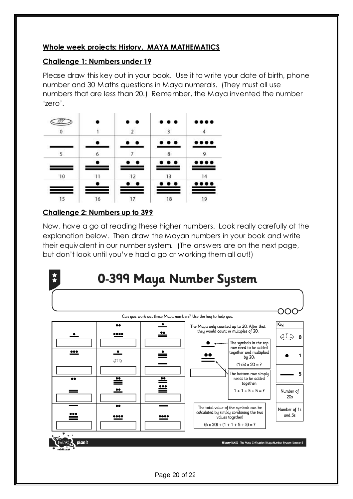### **Whole week projects: History. MAYA MATHEMATICS**

### **Challenge 1: Numbers under 19**

Please draw this key out in your book. Use it to write your date of birth, phone number and 30 Maths questions in Maya numerals. (They must all use numbers that are less than 20.) Remember, the Maya invented the number 'zero'.

|    |    | $\bullet\hspace{1mm}\bullet$ | $\cdots$ |        |
|----|----|------------------------------|----------|--------|
|    |    |                              | 3        |        |
|    |    |                              |          |        |
| ς  | 6  |                              | 8        |        |
|    |    | $\bullet\hspace{1mm}\bullet$ | $\cdots$ | <br>__ |
| 10 |    | 12                           | 13       | 14     |
|    |    | . .                          | .        | . .    |
| 15 | 16 |                              | 18       | 19     |

## **Challenge 2: Numbers up to 399**

Now, have a go at reading these higher numbers. Look really carefully at the explanation below. Then draw the Mayan numbers in your book and write their equivalent in our number system. (The answers are on the next page, but don't look until you've had a go at working them all out!)



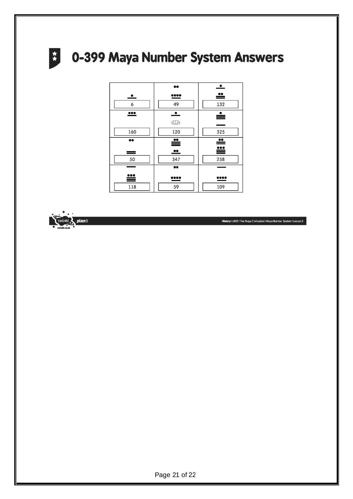# **2 0-399 Maya Number System Answers**



planit

History | UKS2 | The Maya Civilisation | Maya Number System | Lesson 3